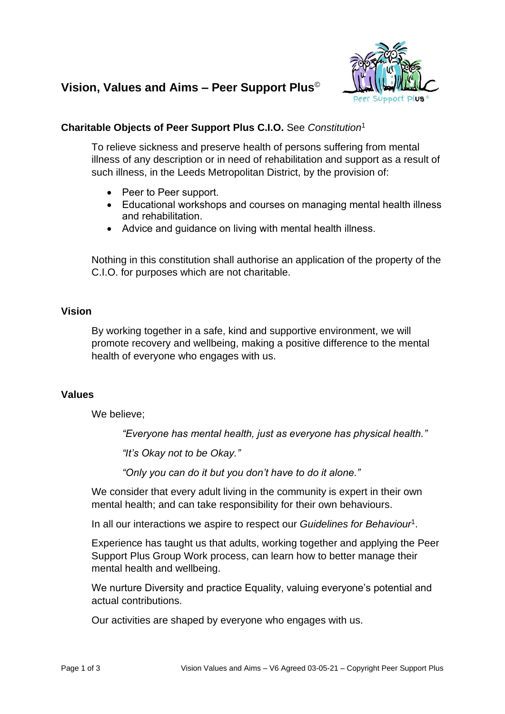# **Vision, Values and Aims – Peer Support Plus**©



## **Charitable Objects of Peer Support Plus C.I.O.** See *Constitution*<sup>1</sup>

To relieve sickness and preserve health of persons suffering from mental illness of any description or in need of rehabilitation and support as a result of such illness, in the Leeds Metropolitan District, by the provision of:

- Peer to Peer support.
- Educational workshops and courses on managing mental health illness and rehabilitation.
- Advice and guidance on living with mental health illness.

Nothing in this constitution shall authorise an application of the property of the C.I.O. for purposes which are not charitable.

### **Vision**

By working together in a safe, kind and supportive environment, we will promote recovery and wellbeing, making a positive difference to the mental health of everyone who engages with us.

### **Values**

We believe:

*"Everyone has mental health, just as everyone has physical health."*

*"It's Okay not to be Okay."*

*"Only you can do it but you don't have to do it alone."*

We consider that every adult living in the community is expert in their own mental health; and can take responsibility for their own behaviours.

In all our interactions we aspire to respect our *Guidelines for Behaviour*<sup>1</sup> .

Experience has taught us that adults, working together and applying the Peer Support Plus Group Work process, can learn how to better manage their mental health and wellbeing.

We nurture Diversity and practice Equality, valuing everyone's potential and actual contributions.

Our activities are shaped by everyone who engages with us.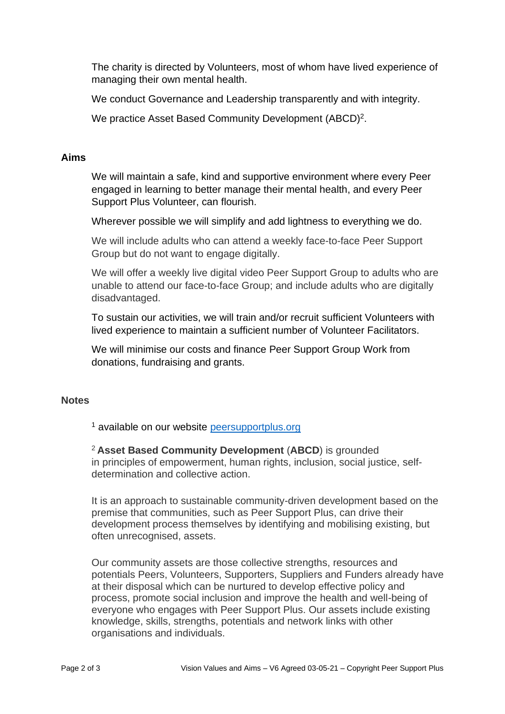The charity is directed by Volunteers, most of whom have lived experience of managing their own mental health.

We conduct Governance and Leadership transparently and with integrity.

We practice Asset Based Community Development (ABCD)<sup>2</sup>.

#### **Aims**

We will maintain a safe, kind and supportive environment where every Peer engaged in learning to better manage their mental health, and every Peer Support Plus Volunteer, can flourish.

Wherever possible we will simplify and add lightness to everything we do.

We will include adults who can attend a weekly face-to-face Peer Support Group but do not want to engage digitally.

We will offer a weekly live digital video Peer Support Group to adults who are unable to attend our face-to-face Group; and include adults who are digitally disadvantaged.

To sustain our activities, we will train and/or recruit sufficient Volunteers with lived experience to maintain a sufficient number of Volunteer Facilitators.

We will minimise our costs and finance Peer Support Group Work from donations, fundraising and grants.

### **Notes**

<sup>1</sup> available on our website [peersupportplus.org](https://www.peersupportplus.org/documents/)

<sup>2</sup>**Asset Based Community Development** (**ABCD**) is grounded in principles of empowerment, human rights, inclusion, social justice, selfdetermination and collective action.

It is an approach to sustainable community-driven development based on the premise that communities, such as Peer Support Plus, can drive their development process themselves by identifying and mobilising existing, but often unrecognised, assets.

Our community assets are those collective strengths, resources and potentials Peers, Volunteers, Supporters, Suppliers and Funders already have at their disposal which can be nurtured to develop effective policy and process, promote social inclusion and improve the health and well-being of everyone who engages with Peer Support Plus. Our assets include existing knowledge, skills, strengths, potentials and network links with other organisations and individuals.